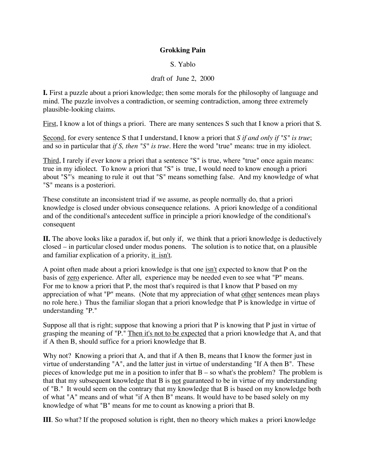## **Grokking Pain**

S. Yablo

## draft of June 2, 2000

**I.** First a puzzle about a priori knowledge; then some morals for the philosophy of language and mind. The puzzle involves a contradiction, or seeming contradiction, among three extremely plausible-looking claims.

First, I know a lot of things a priori. There are many sentences S such that I know a priori that S.

Second, for every sentence S that I understand, I know a priori that *S if and only if "S" is true*; and so in particular that *if S, then "S" is true*. Here the word "true" means: true in my idiolect.

Third, I rarely if ever know a priori that a sentence "S" is true, where "true" once again means: true in my idiolect. To know a priori that "S" is true, I would need to know enough a priori about "S"'s meaning to rule it out that "S" means something false. And my knowledge of what "S" means is a posteriori.

These constitute an inconsistent triad if we assume, as people normally do, that a priori knowledge is closed under obvious consequence relations. A priori knowledge of a conditional and of the conditional's antecedent suffice in principle a priori knowledge of the conditional's consequent

**II.** The above looks like a paradox if, but only if, we think that a priori knowledge is deductively closed – in particular closed under modus ponens. The solution is to notice that, on a plausible and familiar explication of a priority, it isn't.

A point often made about a priori knowledge is that one isn't expected to know that P on the basis of zero experience. After all, experience may be needed even to see what "P" means. For me to know a priori that P, the most that's required is that I know that P based on my appreciation of what "P" means. (Note that my appreciation of what other sentences mean plays no role here.) Thus the familiar slogan that a priori knowledge that P is knowledge in virtue of understanding "P."

Suppose all that is right; suppose that knowing a priori that P is knowing that P just in virtue of grasping the meaning of "P." Then it's not to be expected that a priori knowledge that A, and that if A then B, should suffice for a priori knowledge that B.

Why not? Knowing a priori that A, and that if A then B, means that I know the former just in virtue of understanding "A", and the latter just in virtue of understanding "If A then B". These pieces of knowledge put me in a position to infer that B – so what's the problem? The problem is that that my subsequent knowledge that B is not guaranteed to be in virtue of my understanding of "B." It would seem on the contrary that my knowledge that B is based on my knowledge both of what "A" means and of what "if A then B" means. It would have to be based solely on my knowledge of what "B" means for me to count as knowing a priori that B.

**III**. So what? If the proposed solution is right, then no theory which makes a priori knowledge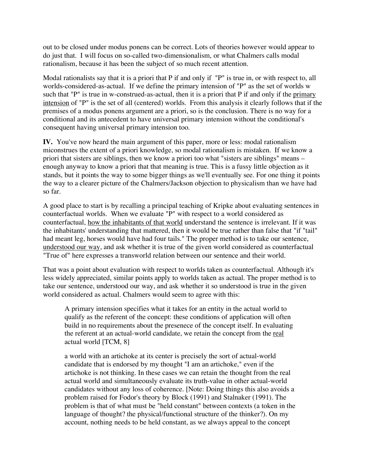out to be closed under modus ponens can be correct. Lots of theories however would appear to do just that. I will focus on so-called two-dimensionalism, or what Chalmers calls modal rationalism, because it has been the subject of so much recent attention.

Modal rationalists say that it is a priori that P if and only if "P" is true in, or with respect to, all worlds-considered-as-actual. If we define the primary intension of "P" as the set of worlds w such that "P" is true in w-construed-as-actual, then it is a priori that P if and only if the primary intension of "P" is the set of all (centered) worlds. From this analysis it clearly follows that if the premises of a modus ponens argument are a priori, so is the conclusion. There is no way for a conditional and its antecedent to have universal primary intension without the conditional's consequent having universal primary intension too.

**IV.** You've now heard the main argument of this paper, more or less: modal rationalism miconstrues the extent of a priori knowledge, so modal rationalism is mistaken. If we know a priori that sisters are siblings, then we know a priori too what "sisters are siblings" means – enough anyway to know a priori that that meaning is true. This is a fussy little objection as it stands, but it points the way to some bigger things as we'll eventually see. For one thing it points the way to a clearer picture of the Chalmers/Jackson objection to physicalism than we have had so far.

A good place to start is by recalling a principal teaching of Kripke about evaluating sentences in counterfactual worlds. When we evaluate "P" with respect to a world considered as counterfactual, how the inhabitants of that world understand the sentence is irrelevant. If it was the inhabitants' understanding that mattered, then it would be true rather than false that "if "tail" had meant leg, horses would have had four tails." The proper method is to take our sentence, understood our way, and ask whether it is true of the given world considered as counterfactual "True of" here expresses a transworld relation between our sentence and their world.

That was a point about evaluation with respect to worlds taken as counterfactual. Although it's less widely appreciated, similar points apply to worlds taken as actual. The proper method is to take our sentence, understood our way, and ask whether it so understood is true in the given world considered as actual. Chalmers would seem to agree with this:

A primary intension specifies what it takes for an entity in the actual world to qualify as the referent of the concept: these conditions of application will often build in no requirements about the presenece of the concept itself. In evaluating the referent at an actual-world candidate, we retain the concept from the real actual world [TCM, 8]

a world with an artichoke at its center is precisely the sort of actual-world candidate that is endorsed by my thought "I am an artichoke," even if the artichoke is not thinking. In these cases we can retain the thought from the real actual world and simultaneously evaluate its truth-value in other actual-world candidates without any loss of coherence. [Note: Doing things this also avoids a problem raised for Fodor's theory by Block (1991) and Stalnaker (1991). The problem is that of what must be "held constant" between contexts (a token in the language of thought? the physical/functional structure of the thinker?). On my account, nothing needs to be held constant, as we always appeal to the concept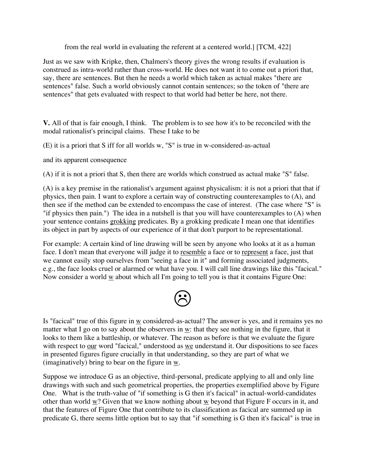from the real world in evaluating the referent at a centered world.] [TCM, 422]

Just as we saw with Kripke, then, Chalmers's theory gives the wrong results if evaluation is construed as intra-world rather than cross-world. He does not want it to come out a priori that, say, there are sentences. But then he needs a world which taken as actual makes "there are sentences" false. Such a world obviously cannot contain sentences; so the token of "there are sentences" that gets evaluated with respect to that world had better be here, not there.

**V.** All of that is fair enough, I think. The problem is to see how it's to be reconciled with the modal rationalist's principal claims. These I take to be

(E) it is a priori that S iff for all worlds w, "S" is true in w-considered-as-actual

and its apparent consequence

(A) if it is not a priori that S, then there are worlds which construed as actual make "S" false.

(A) is a key premise in the rationalist's argument against physicalism: it is not a priori that that if physics, then pain. I want to explore a certain way of constructing counterexamples to (A), and then see if the method can be extended to encompass the case of interest. (The case where "S" is "if physics then pain.") The idea in a nutshell is that you will have counterexamples to (A) when your sentence contains grokking predicates. By a grokking predicate I mean one that identifies its object in part by aspects of our experience of it that don't purport to be representational.

For example: A certain kind of line drawing will be seen by anyone who looks at it as a human face. I don't mean that everyone will judge it to resemble a face or to represent a face, just that we cannot easily stop ourselves from "seeing a face in it" and forming associated judgments, e.g., the face looks cruel or alarmed or what have you. I will call line drawings like this "facical." Now consider a world w about which all I'm going to tell you is that it contains Figure One:



Is "facical" true of this figure in  $\underline{w}$  considered-as-actual? The answer is yes, and it remains yes no matter what I go on to say about the observers in w: that they see nothing in the figure, that it looks to them like a battleship, or whatever. The reason as before is that we evaluate the figure with respect to <u>our</u> word "facical," understood as we understand it. Our dispositions to see faces in presented figures figure crucially in that understanding, so they are part of what we (imaginatively) bring to bear on the figure in w.

Suppose we introduce G as an objective, third-personal, predicate applying to all and only line drawings with such and such geometrical properties, the properties exemplified above by Figure One. What is the truth-value of "if something is G then it's facical" in actual-world-candidates other than world  $\underline{w}$ ? Given that we know nothing about  $\underline{w}$  beyond that Figure F occurs in it, and that the features of Figure One that contribute to its classification as facical are summed up in predicate G, there seems little option but to say that "if something is G then it's facical" is true in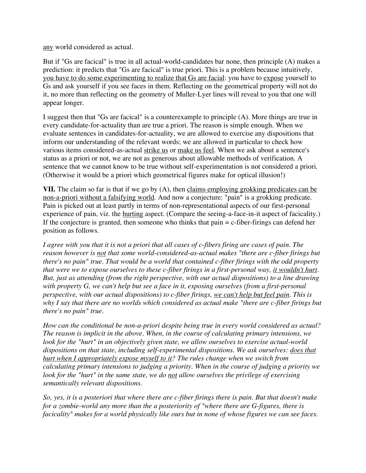any world considered as actual.

But if "Gs are facical" is true in all actual-world-candidates bar none, then principle (A) makes a prediction: it predicts that "Gs are facical" is true priori. This is a problem because intuitively, you have to do some experimenting to realize that Gs are facial: you have to expose yourself to Gs and ask yourself if you see faces in them. Reflecting on the geometrical property will not do it, no more than reflecting on the geometry of Muller-Lyer lines will reveal to you that one will appear longer.

I suggest then that "Gs are facical" is a counterexample to principle (A). More things are true in every candidate-for-actuality than are true a priori. The reason is simple enough. When we evaluate sentences in candidates-for-actuality, we are allowed to exercise any dispositions that inform our understanding of the relevant words; we are allowed in particular to check how various items considered-as-actual strike us or make us feel. When we ask about a sentence's status as a priori or not, we are not as generous about allowable methods of verification. A sentence that we cannot know to be true without self-experimentation is not considered a priori. (Otherwise it would be a priori which geometrical figures make for optical illusion!)

**VII.** The claim so far is that if we go by (A), then claims employing grokking predicates can be non-a-priori without a falsifying world. And now a conjecture: "pain" is a grokking predicate. Pain is picked out at least partly in terms of non-representational aspects of our first-personal experience of pain, viz. the hurting aspect. (Compare the seeing-a-face-in-it aspect of facicality.) If the conjecture is granted, then someone who thinks that  $\text{pair} = c$ -fiber-firings can defend her position as follows.

*I agree with you that it is not a priori that all cases of c-fibers firing are cases of pain. The reason however is not that some world-considered-as-actual makes "there are c-fiber firings but there's no pain" true. That would be a world that contained c-fiber firings with the odd property that were we to expose ourselves to these c-fiber firings in a first-personal way, it wouldn't hurt. But, just as attending (from the right perspective, with our actual dispositions) to a line drawing with property G, we can't help but see a face in it, exposing ourselves (from a first-personal perspective, with our actual dispositions) to c-fiber firings, we can't help but feel pain. This is why I say that there are no worlds which considered as actual make "there are c-fiber firings but there's no pain" true.*

*How can the conditional be non-a-priori despite being true in every world considered as actual? The reason is implicit in the above. When, in the course of calculating primary intensions, we look for the "hurt" in an objectively given state, we allow ourselves to exercise actual-world dispositions on that state, including self-experimental dispositions. We ask ourselves: does that hurt when I appropriately expose myself to it? The rules change when we switch from calculating primary intensions to judging a priority. When in the course of judging a priority we look for the "hurt" in the same state, we do not allow ourselves the privilege of exercising semantically relevant dispositions.*

So, yes, it is a posteriori that where there are c-fiber firings there is pain. But that doesn't make *for a zombie-world any more than the a posteriority of "where there are G-figures, there is facicality" makes for a world physically like ours but in none of whose figures we can see faces.*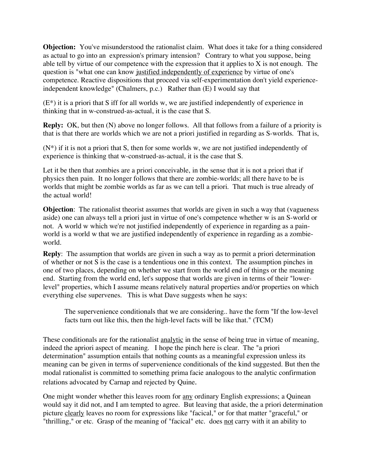**Objection:** You've misunderstood the rationalist claim. What does it take for a thing considered as actual to go into an expression's primary intension? Contrary to what you suppose, being able tell by virtue of our competence with the expression that it applies to X is not enough. The question is "what one can know justified independently of experience by virtue of one's competence. Reactive dispositions that proceed via self-experimentation don't yield experienceindependent knowledge" (Chalmers, p.c.) Rather than (E) I would say that

(E\*) it is a priori that S iff for all worlds w, we are justified independently of experience in thinking that in w-construed-as-actual, it is the case that S.

**Reply:** OK, but then (N) above no longer follows. All that follows from a failure of a priority is that is that there are worlds which we are not a priori justified in regarding as S-worlds. That is,

 $(N^*)$  if it is not a priori that S, then for some worlds w, we are not justified independently of experience is thinking that w-construed-as-actual, it is the case that S.

Let it be then that zombies are a priori conceivable, in the sense that it is not a priori that if physics then pain. It no longer follows that there are zombie-worlds; all there have to be is worlds that might be zombie worlds as far as we can tell a priori. That much is true already of the actual world!

**Objection**: The rationalist theorist assumes that worlds are given in such a way that (vagueness aside) one can always tell a priori just in virtue of one's competence whether w is an S-world or not. A world w which we're not justified independently of experience in regarding as a painworld is a world w that we are justified independently of experience in regarding as a zombieworld.

**Reply**: The assumption that worlds are given in such a way as to permit a priori determination of whether or not S is the case is a tendentious one in this context. The assumption pinches in one of two places, depending on whether we start from the world end of things or the meaning end. Starting from the world end, let's suppose that worlds are given in terms of their "lowerlevel" properties, which I assume means relatively natural properties and/or properties on which everything else supervenes. This is what Dave suggests when he says:

The supervenience conditionals that we are considering.. have the form "If the low-level facts turn out like this, then the high-level facts will be like that." (TCM)

These conditionals are for the rationalist analytic in the sense of being true in virtue of meaning, indeed the apriori aspect of meaning. I hope the pinch here is clear. The "a priori determination" assumption entails that nothing counts as a meaningful expression unless its meaning can be given in terms of supervenience conditionals of the kind suggested. But then the modal rationalist is committed to something prima facie analogous to the analytic confirmation relations advocated by Carnap and rejected by Quine.

One might wonder whether this leaves room for any ordinary English expressions; a Quinean would say it did not, and I am tempted to agree. But leaving that aside, the a priori determination picture clearly leaves no room for expressions like "facical," or for that matter "graceful," or "thrilling," or etc. Grasp of the meaning of "facical" etc. does not carry with it an ability to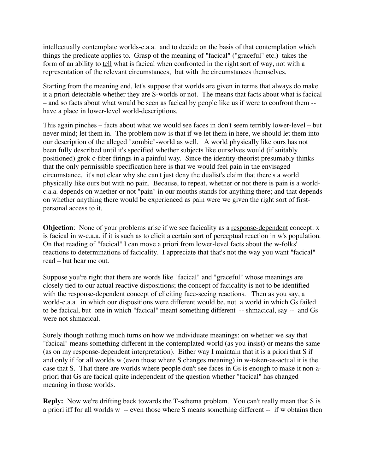intellectually contemplate worlds-c.a.a. and to decide on the basis of that contemplation which things the predicate applies to. Grasp of the meaning of "facical" ("graceful" etc.) takes the form of an ability to tell what is facical when confronted in the right sort of way, not with a representation of the relevant circumstances, but with the circumstances themselves.

Starting from the meaning end, let's suppose that worlds are given in terms that always do make it a priori detectable whether they are S-worlds or not. The means that facts about what is facical – and so facts about what would be seen as facical by people like us if were to confront them - have a place in lower-level world-descriptions.

This again pinches – facts about what we would see faces in don't seem terribly lower-level – but never mind; let them in. The problem now is that if we let them in here, we should let them into our description of the alleged "zombie"-world as well. A world physically like ours has not been fully described until it's specified whether subjects like ourselves would (if suitably positioned) grok c-fiber firings in a painful way. Since the identity-theorist presumably thinks that the only permissible specification here is that we would feel pain in the envisaged circumstance, it's not clear why she can't just deny the dualist's claim that there's a world physically like ours but with no pain. Because, to repeat, whether or not there is pain is a worldc.a.a. depends on whether or not "pain" in our mouths stands for anything there; and that depends on whether anything there would be experienced as pain were we given the right sort of firstpersonal access to it.

**Objection**: None of your problems arise if we see facicality as a response-dependent concept: x is facical in w-c.a.a. if it is such as to elicit a certain sort of perceptual reaction in w's population. On that reading of "facical" I can move a priori from lower-level facts about the w-folks' reactions to determinations of facicality. I appreciate that that's not the way you want "facical" read – but hear me out.

Suppose you're right that there are words like "facical" and "graceful" whose meanings are closely tied to our actual reactive dispositions; the concept of facicality is not to be identified with the response-dependent concept of eliciting face-seeing reactions. Then as you say, a world-c.a.a. in which our dispositions were different would be, not a world in which Gs failed to be facical, but one in which "facical" meant something different -- shmacical, say -- and Gs were not shmacical.

Surely though nothing much turns on how we individuate meanings: on whether we say that "facical" means something different in the contemplated world (as you insist) or means the same (as on my response-dependent interpretation). Either way I maintain that it is a priori that S if and only if for all worlds w (even those where S changes meaning) in w-taken-as-actual it is the case that S. That there are worlds where people don't see faces in Gs is enough to make it non-apriori that Gs are facical quite independent of the question whether "facical" has changed meaning in those worlds.

**Reply:** Now we're drifting back towards the T-schema problem. You can't really mean that S is a priori iff for all worlds w -- even those where S means something different -- if w obtains then